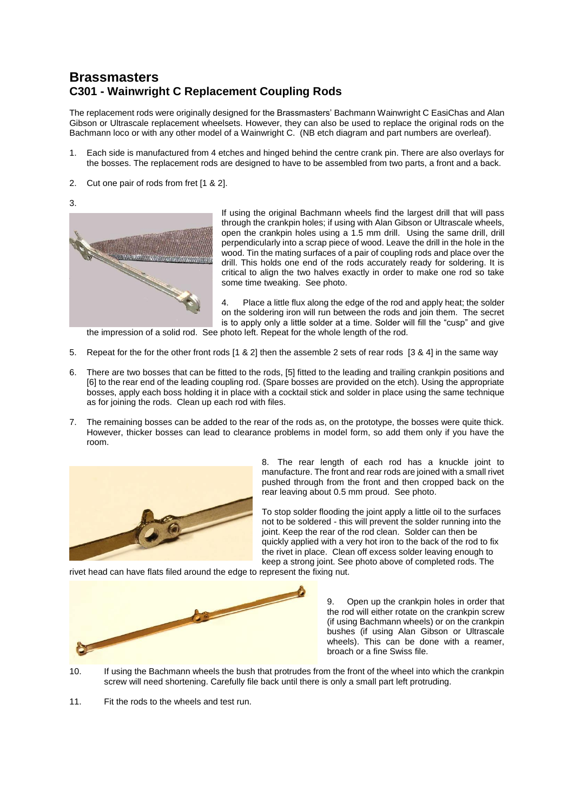## **Brassmasters C301 - Wainwright C Replacement Coupling Rods**

The replacement rods were originally designed for the Brassmasters' Bachmann Wainwright C EasiChas and Alan Gibson or Ultrascale replacement wheelsets. However, they can also be used to replace the original rods on the Bachmann loco or with any other model of a Wainwright C. (NB etch diagram and part numbers are overleaf).

- 1. Each side is manufactured from 4 etches and hinged behind the centre crank pin. There are also overlays for the bosses. The replacement rods are designed to have to be assembled from two parts, a front and a back.
- 2. Cut one pair of rods from fret [1 & 2].

3.



If using the original Bachmann wheels find the largest drill that will pass through the crankpin holes; if using with Alan Gibson or Ultrascale wheels, open the crankpin holes using a 1.5 mm drill. Using the same drill, drill perpendicularly into a scrap piece of wood. Leave the drill in the hole in the wood. Tin the mating surfaces of a pair of coupling rods and place over the drill. This holds one end of the rods accurately ready for soldering. It is critical to align the two halves exactly in order to make one rod so take some time tweaking. See photo.

4. Place a little flux along the edge of the rod and apply heat; the solder on the soldering iron will run between the rods and join them. The secret is to apply only a little solder at a time. Solder will fill the "cusp" and give

the impression of a solid rod. See photo left. Repeat for the whole length of the rod.

- 5. Repeat for the for the other front rods [1 & 2] then the assemble 2 sets of rear rods [3 & 4] in the same way
- 6. There are two bosses that can be fitted to the rods, [5] fitted to the leading and trailing crankpin positions and [6] to the rear end of the leading coupling rod. (Spare bosses are provided on the etch). Using the appropriate bosses, apply each boss holding it in place with a cocktail stick and solder in place using the same technique as for joining the rods. Clean up each rod with files.
- 7. The remaining bosses can be added to the rear of the rods as, on the prototype, the bosses were quite thick. However, thicker bosses can lead to clearance problems in model form, so add them only if you have the room.



8. The rear length of each rod has a knuckle joint to manufacture. The front and rear rods are joined with a small rivet pushed through from the front and then cropped back on the rear leaving about 0.5 mm proud. See photo.

To stop solder flooding the joint apply a little oil to the surfaces not to be soldered - this will prevent the solder running into the joint. Keep the rear of the rod clean. Solder can then be quickly applied with a very hot iron to the back of the rod to fix the rivet in place. Clean off excess solder leaving enough to keep a strong joint. See photo above of completed rods. The

rivet head can have flats filed around the edge to represent the fixing nut.



9. Open up the crankpin holes in order that the rod will either rotate on the crankpin screw (if using Bachmann wheels) or on the crankpin bushes (if using Alan Gibson or Ultrascale wheels). This can be done with a reamer, broach or a fine Swiss file.

10. If using the Bachmann wheels the bush that protrudes from the front of the wheel into which the crankpin screw will need shortening. Carefully file back until there is only a small part left protruding.

11. Fit the rods to the wheels and test run.